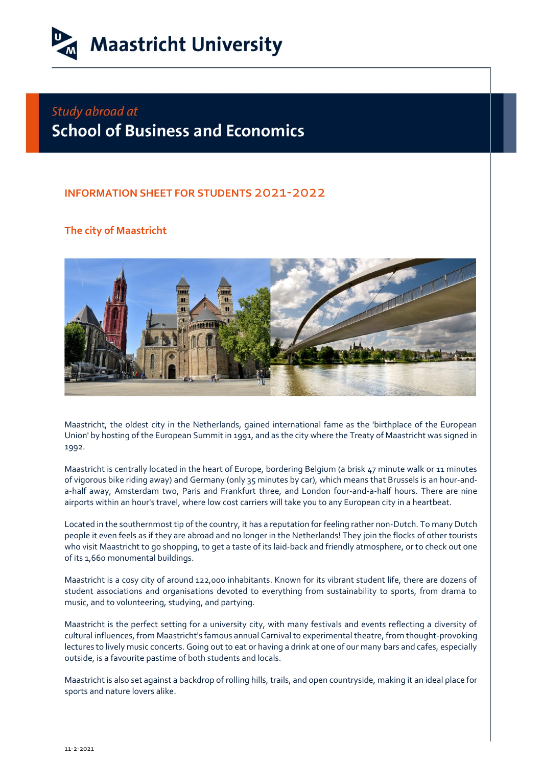

## Study abroad at **School of Business and Economics**

## **INFORMATION SHEET FOR STUDENTS** 2021-2022

## **The city of Maastricht**



Maastricht, the oldest city in the Netherlands, gained international fame as the 'birthplace of the European Union' by hosting of the European Summit in 1991, and as the city where the Treaty of Maastricht was signed in 1992.

Maastricht is centrally located in the heart of Europe, bordering Belgium (a brisk 47 minute walk or 11 minutes of vigorous bike riding away) and Germany (only 35 minutes by car), which means that Brussels is an hour-anda-half away, Amsterdam two, Paris and Frankfurt three, and London four-and-a-half hours. There are nine airports within an hour's travel, where low cost carriers will take you to any European city in a heartbeat.

Located in the southernmost tip of the country, it has a reputation for feeling rather non-Dutch. To many Dutch people it even feels as if they are abroad and no longer in the Netherlands! They join the flocks of other tourists who visit Maastricht to go shopping, to get a taste of its laid-back and friendly atmosphere, or to check out one of its 1,660 monumental buildings.

Maastricht is a cosy city of around 122,000 inhabitants. Known for its vibrant student life, there are dozens of student associations and organisations devoted to everything from sustainability to sports, from drama to music, and to volunteering, studying, and partying.

Maastricht is the perfect setting for a university city, with many festivals and events reflecting a diversity of cultural influences, from Maastricht's famous annual Carnival to experimental theatre, from thought-provoking lectures to lively music concerts. Going out to eat or having a drink at one of our many bars and cafes, especially outside, is a favourite pastime of both students and locals.

Maastricht is also set against a backdrop of rolling hills, trails, and open countryside, making it an ideal place for sports and nature lovers alike.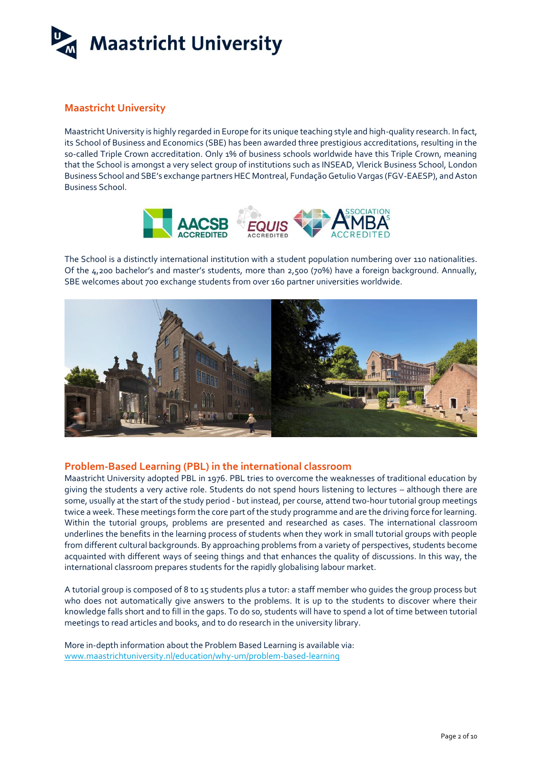

## **Maastricht University**

Maastricht University is highly regarded in Europe for its unique teaching style and high-quality research. In fact, its School of Business and Economics (SBE) has been awarded three prestigious accreditations, resulting in the so-called Triple Crown accreditation. Only 1% of business schools worldwide have this Triple Crown, meaning that the School is amongst a very select group of institutions such as INSEAD, Vlerick Business School, London Business School and SBE's exchange partners HEC Montreal, Fundação Getulio Vargas (FGV-EAESP), and Aston Business School.



The School is a distinctly international institution with a student population numbering over 110 nationalities. Of the 4,200 bachelor's and master's students, more than 2,500 (70%) have a foreign background. Annually, SBE welcomes about 700 exchange students from over 160 partner universities worldwide.



#### **Problem-Based Learning (PBL) in the international classroom**

Maastricht University adopted PBL in 1976. PBL tries to overcome the weaknesses of traditional education by giving the students a very active role. Students do not spend hours listening to lectures – although there are some, usually at the start of the study period - but instead, per course, attend two-hour tutorial group meetings twice a week. These meetings form the core part of the study programme and are the driving force for learning. Within the tutorial groups, problems are presented and researched as cases. The international classroom underlines the benefits in the learning process of students when they work in small tutorial groups with people from different cultural backgrounds. By approaching problems from a variety of perspectives, students become acquainted with different ways of seeing things and that enhances the quality of discussions. In this way, the international classroom prepares students for the rapidly globalising labour market.

A tutorial group is composed of 8 to 15 students plus a tutor: a staff member who guides the group process but who does not automatically give answers to the problems. It is up to the students to discover where their knowledge falls short and to fill in the gaps. To do so, students will have to spend a lot of time between tutorial meetings to read articles and books, and to do research in the university library.

More in-depth information about the Problem Based Learning is available via: [www.maastrichtuniversity.nl/education/why-um/problem-based-learning](http://www.maastrichtuniversity.nl/education/why-um/problem-based-learning)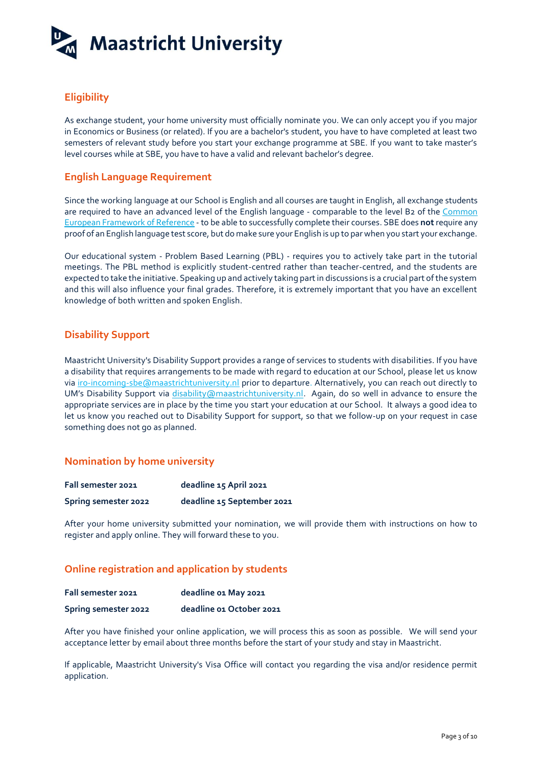

## **Eligibility**

As exchange student, your home university must officially nominate you. We can only accept you if you major in Economics or Business (or related). If you are a bachelor's student, you have to have completed at least two semesters of relevant study before you start your exchange programme at SBE. If you want to take master's level courses while at SBE, you have to have a valid and relevant bachelor's degree.

### **English Language Requirement**

Since the working language at our School is English and all courses are taught in English, all exchange students are required to have an advanced level of the English language - comparable to the level B2 of the [Common](http://www.cambridgeenglish.org/exams/cefr/) [European Framework](http://www.cambridgeenglish.org/exams/cefr/) o[f Reference](http://www.cambridgeenglish.org/exams/cefr/) - to be able to successfully complete their courses. SBE does **not**require any proof of an English language test score, but do make sure your English is up to par when you start your exchange.

Our educational system - Problem Based Learning (PBL) - requires you to actively take part in the tutorial meetings. The PBL method is explicitly student-centred rather than teacher-centred, and the students are expected to take the initiative. Speaking up and actively taking part in discussions is a crucial part of the system and this will also influence your final grades. Therefore, it is extremely important that you have an excellent knowledge of both written and spoken English.

## **Disability Support**

Maastricht University's Disability Support provides a range of services to students with disabilities. If you have a disability that requires arrangements to be made with regard to education at our School, please let us know via [iro-incoming-sbe@maastrichtuniversity.nl](mailto:iro-incoming-sbe@maastrichtuniversity.nl) prior to departure. Alternatively, you can reach out directly to UM's Disability Support via [disability@maastrichtuniversity.nl.](mailto:disability@maastrichtuniversity.nl) Again, do so well in advance to ensure the appropriate services are in place by the time you start your education at our School. It always a good idea to let us know you reached out to Disability Support for support, so that we follow-up on your request in case something does not go as planned.

## **Nomination by home university**

| Fall semester 2021   | deadline 15 April 2021     |
|----------------------|----------------------------|
| Spring semester 2022 | deadline 15 September 2021 |

After your home university submitted your nomination, we will provide them with instructions on how to register and apply online. They will forward these to you.

## **Online registration and application by students**

| Fall semester 2021   | deadline 01 May 2021     |
|----------------------|--------------------------|
| Spring semester 2022 | deadline 01 October 2021 |

After you have finished your online application, we will process this as soon as possible. We will send your acceptance letter by email about three months before the start of your study and stay in Maastricht.

If applicable, Maastricht University's Visa Office will contact you regarding the visa and/or residence permit application.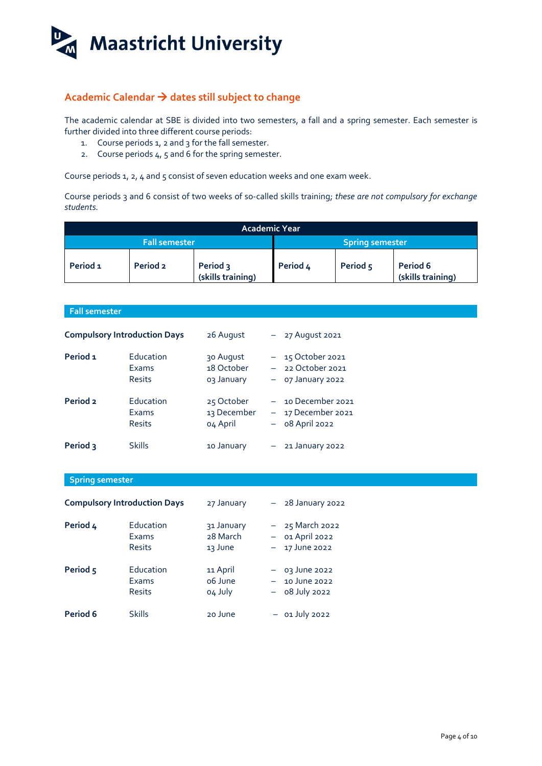

## **Academic Calendar dates still subject to change**

The academic calendar at SBE is divided into two semesters, a fall and a spring semester. Each semester is further divided into three different course periods:

- 1. Course periods 1, 2 and 3 for the fall semester.
- 2. Course periods  $4, 5$  and 6 for the spring semester.

Course periods 1, 2, 4 and 5 consist of seven education weeks and one exam week.

Course periods 3 and 6 consist of two weeks of so-called skills training; *these are not compulsory for exchange students.*

| <b>Academic Year</b> |          |                               |          |          |                               |
|----------------------|----------|-------------------------------|----------|----------|-------------------------------|
| Fall semester        |          | <b>Spring semester</b>        |          |          |                               |
| Period <sub>1</sub>  | Period 2 | Period 3<br>(skills training) | Period 4 | Period 5 | Period 6<br>(skills training) |

| <b>Fall semester</b>   |                                     |                                       |                          |                                                                 |
|------------------------|-------------------------------------|---------------------------------------|--------------------------|-----------------------------------------------------------------|
|                        | <b>Compulsory Introduction Days</b> | 26 August                             | $ \,$                    | 27 August 2021                                                  |
| Period 1               | Education<br>Exams<br><b>Resits</b> | 30 August<br>18 October<br>o3 January |                          | $-15$ October 2021<br>$-22$ October 2021<br>- 07 January 2022   |
| Period <sub>2</sub>    | Education<br>Exams<br><b>Resits</b> | 25 October<br>13 December<br>04 April |                          | $-$ 10 December 2021<br>- 17 December 2021<br>$-$ 08 April 2022 |
| Period 3               | <b>Skills</b>                       | 10 January                            | $ \,$                    | 21 January 2022                                                 |
| <b>Spring semester</b> |                                     |                                       |                          |                                                                 |
|                        | <b>Compulsory Introduction Days</b> | 27 January                            |                          | - 28 January 2022                                               |
| Period 4               | Education<br>Exams<br><b>Resits</b> | 31 January<br>28 March<br>13 June     | $-$                      | 25 March 2022<br>$-$ 01 April 2022<br>17 June 2022              |
| Period 5               | Education<br>Exams<br><b>Resits</b> | 11 April<br>o6 June<br>o4 July        | $\overline{\phantom{m}}$ | $-$ 03 June 2022<br>10 June 2022<br>08 July 2022                |
| Period 6               | <b>Skills</b>                       | 20 June                               |                          | $-$ 01 July 2022                                                |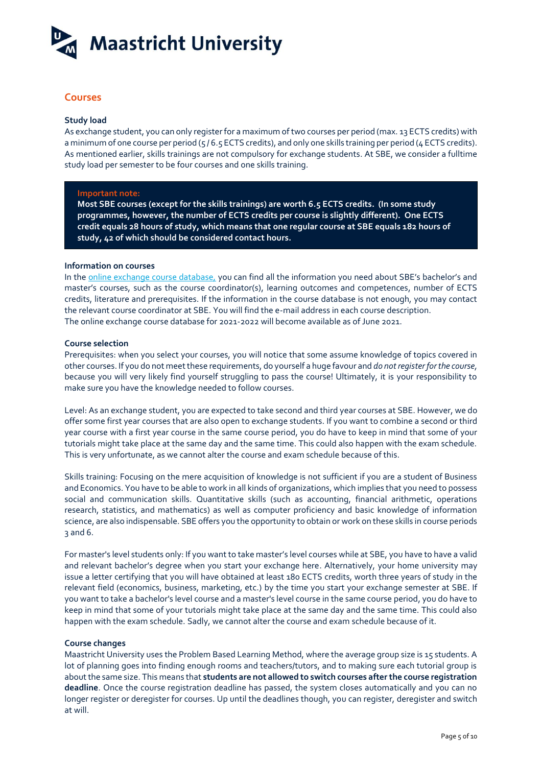

## **Courses**

#### **Study load**

As exchange student, you can only register for a maximum of two courses per period (max. 13 ECTS credits) with a minimum of one course per period ( $5/6.5$  ECTS credits), and only one skills training per period ( $4$  ECTS credits). As mentioned earlier, skills trainings are not compulsory for exchange students. At SBE, we consider a fulltime study load per semester to be four courses and one skills training.

#### **Important note:**

**Most SBE courses (except for the skills trainings) are worth 6.5 ECTS credits. (In some study programmes, however, the number of ECTS credits per course is slightly different). One ECTS credit equals 28 hours of study, which means that one regular course at SBE equals 182 hours of study, 42 of which should be considered contact hours.**

#### **Information on courses**

In the [online exchange course database,](http://code.unimaas.nl/Code/Selection?intCalendarID=27&intBAMA=3&intFacultyID=26) you can find all the information you need about SBE's bachelor's and master's courses, such as the course coordinator(s), learning outcomes and competences, number of ECTS credits, literature and prerequisites. If the information in the course database is not enough, you may contact the relevant course coordinator at SBE. You will find the e-mail address in each course description. The online exchange course database for 2021-2022 will become available as of June 2021.

#### **Course selection**

Prerequisites: when you select your courses, you will notice that some assume knowledge of topics covered in other courses. If you do not meet these requirements, do yourself a huge favour and *do notregister for the course,*  because you will very likely find yourself struggling to pass the course! Ultimately, it is your responsibility to make sure you have the knowledge needed to follow courses.

Level: As an exchange student, you are expected to take second and third year courses at SBE. However, we do offer some first year courses that are also open to exchange students. If you want to combine a second or third year course with a first year course in the same course period, you do have to keep in mind that some of your tutorials might take place at the same day and the same time. This could also happen with the exam schedule. This is very unfortunate, as we cannot alter the course and exam schedule because of this.

Skills training: Focusing on the mere acquisition of knowledge is not sufficient if you are a student of Business and Economics. You have to be able to work in all kinds of organizations, which implies that you need to possess social and communication skills. Quantitative skills (such as accounting, financial arithmetic, operations research, statistics, and mathematics) as well as computer proficiency and basic knowledge of information science, are also indispensable. SBE offers you the opportunity to obtain or work on these skills in course periods 3 and 6.

For master's level students only: If you want to take master's level courses while at SBE, you have to have a valid and relevant bachelor's degree when you start your exchange here. Alternatively, your home university may issue a letter certifying that you will have obtained at least 180 ECTS credits, worth three years of study in the relevant field (economics, business, marketing, etc.) by the time you start your exchange semester at SBE. If you want to take a bachelor's level course and a master's level course in the same course period, you do have to keep in mind that some of your tutorials might take place at the same day and the same time. This could also happen with the exam schedule. Sadly, we cannot alter the course and exam schedule because of it.

#### **Course changes**

Maastricht University uses the Problem Based Learning Method, where the average group size is 15 students. A lot of planning goes into finding enough rooms and teachers/tutors, and to making sure each tutorial group is about the same size. This means that **students are not allowed to switch courses after the course registration deadline**. Once the course registration deadline has passed, the system closes automatically and you can no longer register or deregister for courses. Up until the deadlines though, you can register, deregister and switch at will.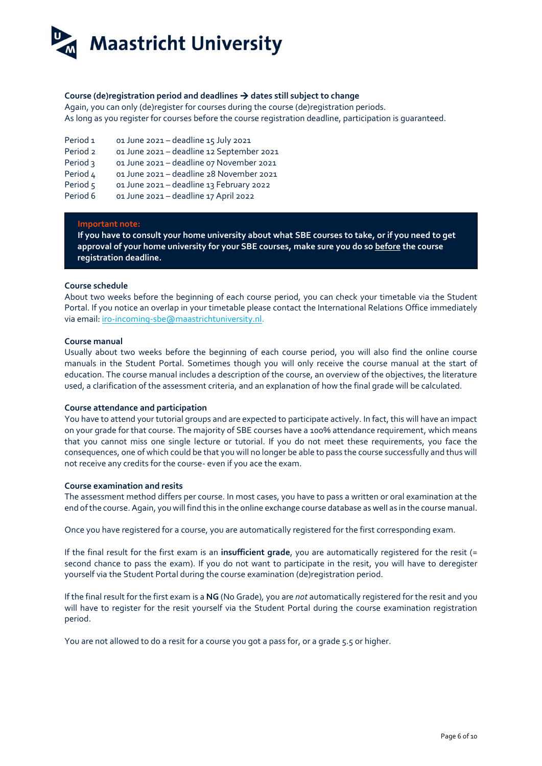# **Maastricht University**

#### **Course (de)registration period and deadlines dates still subject to change**

Again, you can only (de)register for courses during the course (de)registration periods. As long as you register for courses before the course registration deadline, participation is guaranteed.

| Period <sub>1</sub> | 01 June 2021 - deadline 15 July 2021      |
|---------------------|-------------------------------------------|
| Period <sub>2</sub> | 01 June 2021 - deadline 12 September 2021 |
| Period 3            | 01 June 2021 - deadline 07 November 2021  |
| Period 4            | 01 June 2021 - deadline 28 November 2021  |
| Period 5            | 01 June 2021 - deadline 13 February 2022  |
| Period 6            | 01 June 2021 - deadline 17 April 2022     |

#### **Important note:**

**If you have to consult your home university about what SBE courses to take, or if you need to get approval of your home university for your SBE courses, make sure you do so before the course registration deadline.** 

#### **Course schedule**

About two weeks before the beginning of each course period, you can check your timetable via the Student Portal. If you notice an overlap in your timetable please contact the International Relations Office immediately via email: [iro-incoming-sbe@maastrichtuniversity.nl.](mailto:iro-incoming-sbe@maastrichtuniversity.nl)

#### **Course manual**

Usually about two weeks before the beginning of each course period, you will also find the online course manuals in the Student Portal. Sometimes though you will only receive the course manual at the start of education. The course manual includes a description of the course, an overview of the objectives, the literature used, a clarification of the assessment criteria, and an explanation of how the final grade will be calculated.

#### **Course attendance and participation**

You have to attend your tutorial groups and are expected to participate actively. In fact, this will have an impact on your grade for that course. The majority of SBE courses have a 100% attendance requirement, which means that you cannot miss one single lecture or tutorial. If you do not meet these requirements, you face the consequences, one of which could be that you will no longer be able to pass the course successfully and thus will not receive any credits for the course- even if you ace the exam.

#### **Course examination and resits**

The assessment method differs per course. In most cases, you have to pass a written or oral examination at the end of the course. Again, you will find this in the [online exchange course database](http://code.unimaas.nl/Code/Selection?intCalendarID=27&intBAMA=3&intFacultyID=26) as well as in the course manual.

Once you have registered for a course, you are automatically registered for the first corresponding exam.

If the final result for the first exam is an **insufficient grade**, you are automatically registered for the resit (= second chance to pass the exam). If you do not want to participate in the resit, you will have to deregister yourself via the Student Portal during the course examination (de)registration period.

If the final result for the first exam is a **NG** (No Grade)*,* you are *not* automatically registered for the resit and you will have to register for the resit yourself via the Student Portal during the course examination registration period.

You are not allowed to do a resit for a course you got a pass for, or a grade 5.5 or higher.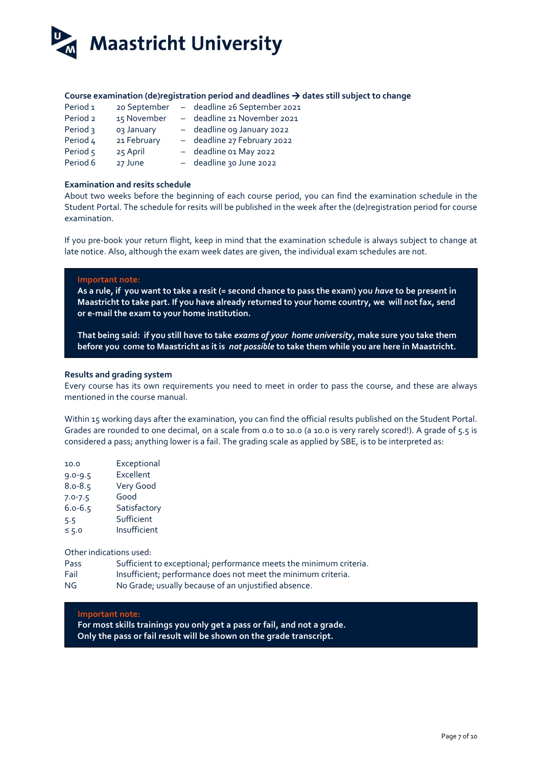

#### **Course examination (de)registration period and deadlines dates still subject to change**

| Period <sub>1</sub> | 20 September | - deadline 26 September 2021 |
|---------------------|--------------|------------------------------|
| Period <sub>2</sub> | 15 November  | - deadline 21 November 2021  |
| Period 3            | 03 January   | - deadline og January 2022   |
| Period 4            | 21 February  | - deadline 27 February 2022  |
| Period 5            | 25 April     | - deadline o1 May 2022       |
| Period 6            | 27 June      | - deadline 30 June 2022      |

#### **Examination and resits schedule**

About two weeks before the beginning of each course period, you can find the examination schedule in the Student Portal. The schedule for resits will be published in the week after the (de)registration period for course examination.

If you pre-book your return flight, keep in mind that the examination schedule is always subject to change at late notice. Also, although the exam week dates are given, the individual exam schedules are not.

#### **Important note:**

**As a rule, if you want to take a resit (= second chance to pass the exam) you** *have* **to be present in Maastricht to take part. If you have already returned to your home country, we will not fax, send or e-mail the exam to your home institution.** 

**That being said: if you still have to take** *exams of your home university***, make sure you take them before you come to Maastricht as it is** *not possible* **to take them while you are here in Maastricht.** 

#### **Results and grading system**

Every course has its own requirements you need to meet in order to pass the course, and these are always mentioned in the course manual.

Within 15 working days after the examination, you can find the official results published on the Student Portal. Grades are rounded to one decimal, on a scale from 0.0 to 10.0 (a 10.0 is very rarely scored!). A grade of 5.5 is considered a pass; anything lower is a fail. The grading scale as applied by SBE, is to be interpreted as:

| 10.0        | Exceptional  |
|-------------|--------------|
| $9.0 - 9.5$ | Excellent    |
| $8.0 - 8.5$ | Very Good    |
| $7.0 - 7.5$ | Good         |
| $6.0 - 6.5$ | Satisfactory |
| 5.5         | Sufficient   |
| $\leq$ 5.0  | Insufficient |

Other indications used:

- Pass Sufficient to exceptional; performance meets the minimum criteria.
- Fail Insufficient; performance does not meet the minimum criteria.
- NG No Grade; usually because of an unjustified absence.

#### **Important note:**

**For most skills trainings you only get a pass or fail, and not a grade. Only the pass or fail result will be shown on the grade transcript.**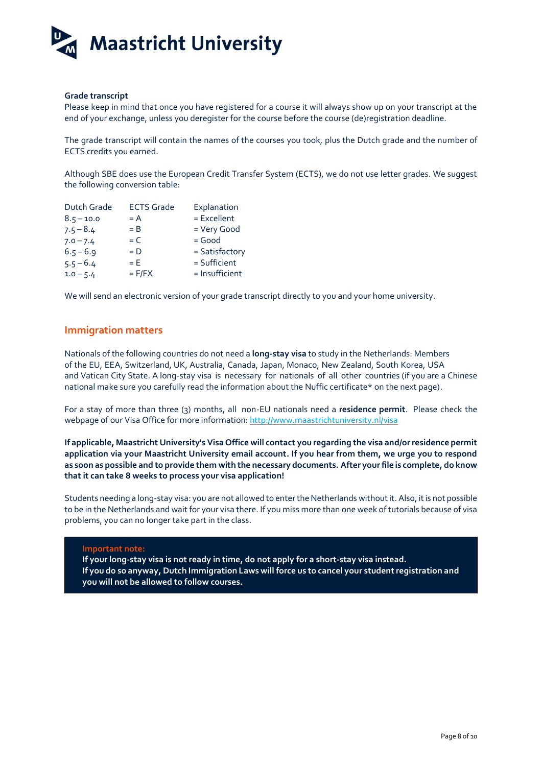

#### **Grade transcript**

Please keep in mind that once you have registered for a course it will always show up on your transcript at the end of your exchange, unless you deregister for the course before the course (de)registration deadline.

The grade transcript will contain the names of the courses you took, plus the Dutch grade and the number of ECTS credits you earned.

Although SBE does use the European Credit Transfer System (ECTS), we do not use letter grades. We suggest the following conversion table:

| <b>ECTS Grade</b> | Explanation    |
|-------------------|----------------|
| $= A$             | = Excellent    |
| $=$ B             | = Very Good    |
| $= C$             | $=$ Good       |
| $= D$             | = Satisfactory |
| $= E$             | = Sufficient   |
| $=$ F/FX          | = Insufficient |
|                   |                |

We will send an electronic version of your grade transcript directly to you and your home university.

#### **Immigration matters**

Nationals of the following countries do not need a **long-stay visa** to study in the Netherlands: Members of the EU, EEA, Switzerland, UK, Australia, Canada, Japan, Monaco, New Zealand, South Korea, USA and Vatican City State. A long-stay visa is necessary for nationals of all other countries (if you are a Chinese national make sure you carefully read the information about the Nuffic certificate\* on the next page).

For a stay of more than three (3) months, all non-EU nationals need a **residence permit**. Please check the webpage of our Visa Office for more information[: http://www.maastrichtuniversity.nl/visa](http://www.maastrichtuniversity.nl/visa)

**If applicable, Maastricht University's Visa Office will contact you regarding the visa and/or residence permit application via your Maastricht University email account. If you hear from them, we urge you to respond as soon as possible and to provide them with the necessary documents. After your file is complete, do know that it can take 8 weeks to process your visa application!**

Students needing a long-stay visa: you are not allowed to enter the Netherlands without it. Also, it is not possible to be in the Netherlands and wait for your visa there. If you miss more than one week of tutorials because of visa problems, you can no longer take part in the class.

#### **Important note:**

**If your long-stay visa is not ready in time, do not apply for a short-stay visa instead. If you do so anyway, Dutch Immigration Laws will force us to cancel your studentregistration and you will not be allowed to follow courses.**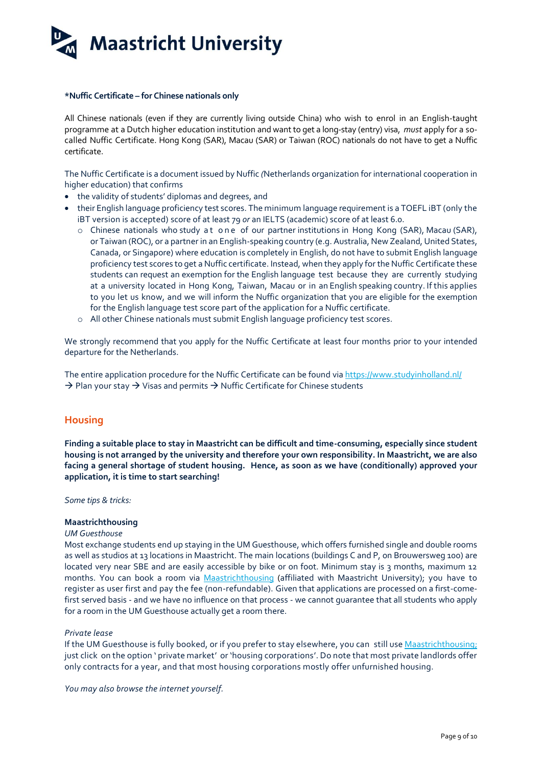**Maastricht University** 

#### **\*Nuffic Certificate – for Chinese nationals only**

All Chinese nationals (even if they are currently living outside China) who wish to enrol in an English-taught programme at a Dutch higher education institution and want to get a long-stay (entry) visa, *must* apply for a socalled Nuffic Certificate. Hong Kong (SAR), Macau (SAR) or Taiwan (ROC) nationals do not have to get a Nuffic certificate.

The Nuffic Certificate is a document issued by Nuffic *(*Netherlands organization for international cooperation in higher education) that confirms

- the validity of students' diplomas and degrees, and
- their English language proficiency test scores. The minimum language requirement is a TOEFL iBT (only the iBT version is accepted) score of at least 79 *or* an IELTS (academic) score of at least 6.0.
	- o Chinese nationals who study at one of our partner institutions in Hong Kong (SAR), Macau (SAR), or Taiwan (ROC), or a partner in an English-speaking country (e.g. Australia, New Zealand, United States, Canada, or Singapore) where education is completely in English, do not have to submit English language proficiency test scores to get a Nuffic certificate. Instead, when they apply for the Nuffic Certificate these students can request an exemption for the English language test because they are currently studying at a university located in Hong Kong, Taiwan, Macau or in an English speaking country. If this applies to you let us know, and we will inform the Nuffic organization that you are eligible for the exemption for the English language test score part of the application for a Nuffic certificate.
	- o All other Chinese nationals must submit English language proficiency test scores.

We strongly recommend that you apply for the Nuffic Certificate at least four months prior to your intended departure for the Netherlands.

The entire application procedure for the Nuffic Certificate can be found vi[a https://www.studyinholland.nl/](https://www.studyinholland.nl/)   $\rightarrow$  Plan your stay  $\rightarrow$  Visas and permits  $\rightarrow$  Nuffic Certificate for Chinese students

## **Housing**

**Finding a suitable place to stay in Maastricht can be difficult and time-consuming, especially since student housing is not arranged by the university and therefore your own responsibility. In Maastricht, we are also facing a general shortage of student housing. Hence, as soon as we have (conditionally) approved your application, it is time to start searching!**

*Some tips & tricks:* 

#### **Maastrichthousing**

#### *UM Guesthouse*

Most exchange students end up staying in the UM Guesthouse, which offers furnished single and double rooms as well as studios at 13 locations in Maastricht. The main locations (buildings C and P, on Brouwersweg 100) are located very near SBE and are easily accessible by bike or on foot. Minimum stay is 3 months, maximum 12 months. You can book a room via [Maastrichthousing](https://www.maastrichthousing.com/) (affiliated with Maastricht University); you have to register as user first and pay the fee (non-refundable). Given that applications are processed on a first-comefirst served basis - and we have no influence on that process - we cannot guarantee that all students who apply for a room in the UM Guesthouse actually get a room there.

#### *Private lease*

If the UM Guesthouse is fully booked, or if you prefer to stay elsewhere, you can still us[e Maastrichthousing;](https://www.maastrichthousing.com/) just click on the option ' private market' or 'housing corporations'. Do note that most private landlords offer only contracts for a year, and that most housing corporations mostly offer unfurnished housing.

*You may also browse the internet yourself.*